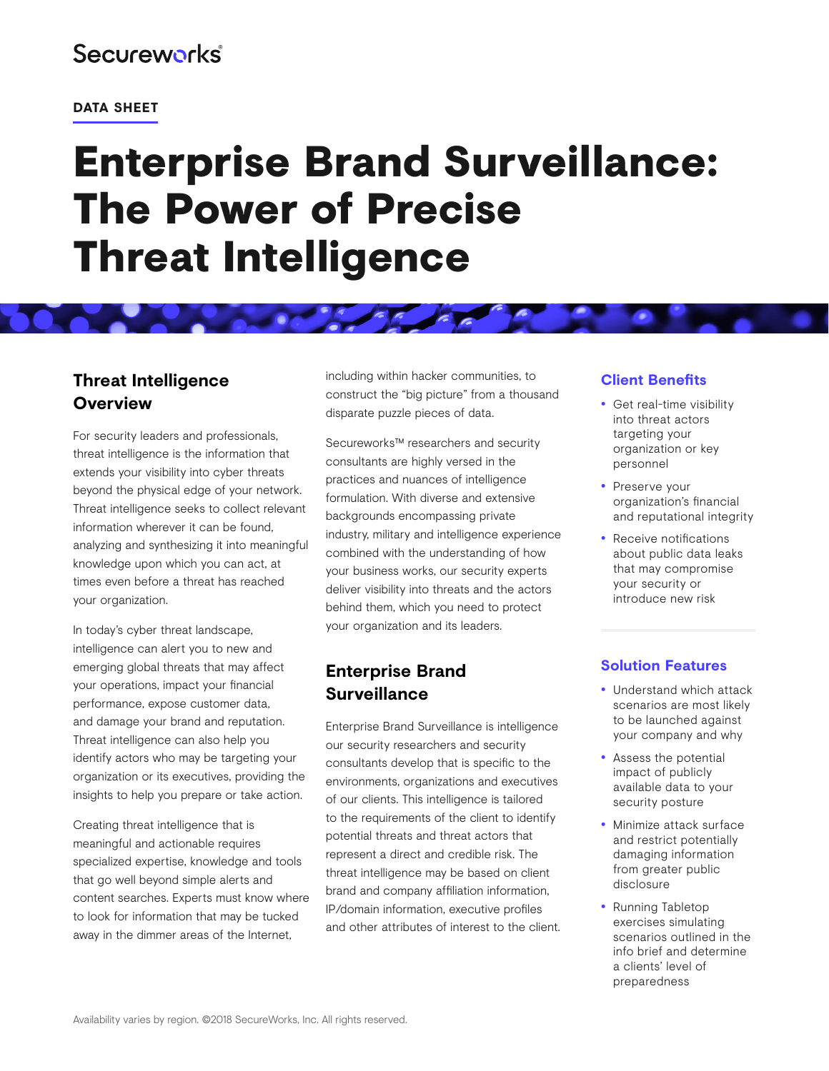## **Secureworks**

#### **DATA SHEET**

# Enterprise Brand Surveillance: The Power of Precise Threat Intelligence

## **Threat Intelligence Overview**

For security leaders and professionals, threat intelligence is the information that extends your visibility into cyber threats beyond the physical edge of your network. Threat intelligence seeks to collect relevant information wherever it can be found, analyzing and synthesizing it into meaningful knowledge upon which you can act, at times even before a threat has reached your organization.

In today's cyber threat landscape, intelligence can alert you to new and emerging global threats that may affect your operations, impact your financial performance, expose customer data, and damage your brand and reputation. Threat intelligence can also help you identify actors who may be targeting your organization or its executives, providing the insights to help you prepare or take action.

Creating threat intelligence that is meaningful and actionable requires specialized expertise, knowledge and tools that go well beyond simple alerts and content searches. Experts must know where to look for information that may be tucked away in the dimmer areas of the Internet,

including within hacker communities, to construct the "big picture" from a thousand disparate puzzle pieces of data.

Secureworks™ researchers and security consultants are highly versed in the practices and nuances of intelligence formulation. With diverse and extensive backgrounds encompassing private industry, military and intelligence experience combined with the understanding of how your business works, our security experts deliver visibility into threats and the actors behind them, which you need to protect your organization and its leaders.

## **Enterprise Brand Surveillance**

Enterprise Brand Surveillance is intelligence our security researchers and security consultants develop that is specific to the environments, organizations and executives of our clients. This intelligence is tailored to the requirements of the client to identify potential threats and threat actors that represent a direct and credible risk. The threat intelligence may be based on client brand and company affiliation information, IP/domain information, executive profiles and other attributes of interest to the client.

### **Client Benefits**

- Get real-time visibility into threat actors targeting your organization or key personnel
- Preserve your organization's financial and reputational integrity
- Receive notifications about public data leaks that may compromise your security or introduce new risk

### **Solution Features**

- Understand which attack scenarios are most likely to be launched against your company and why
- Assess the potential impact of publicly available data to your security posture
- Minimize attack surface and restrict potentially damaging information from greater public disclosure
- Running Tabletop exercises simulating scenarios outlined in the info brief and determine a clients' level of preparedness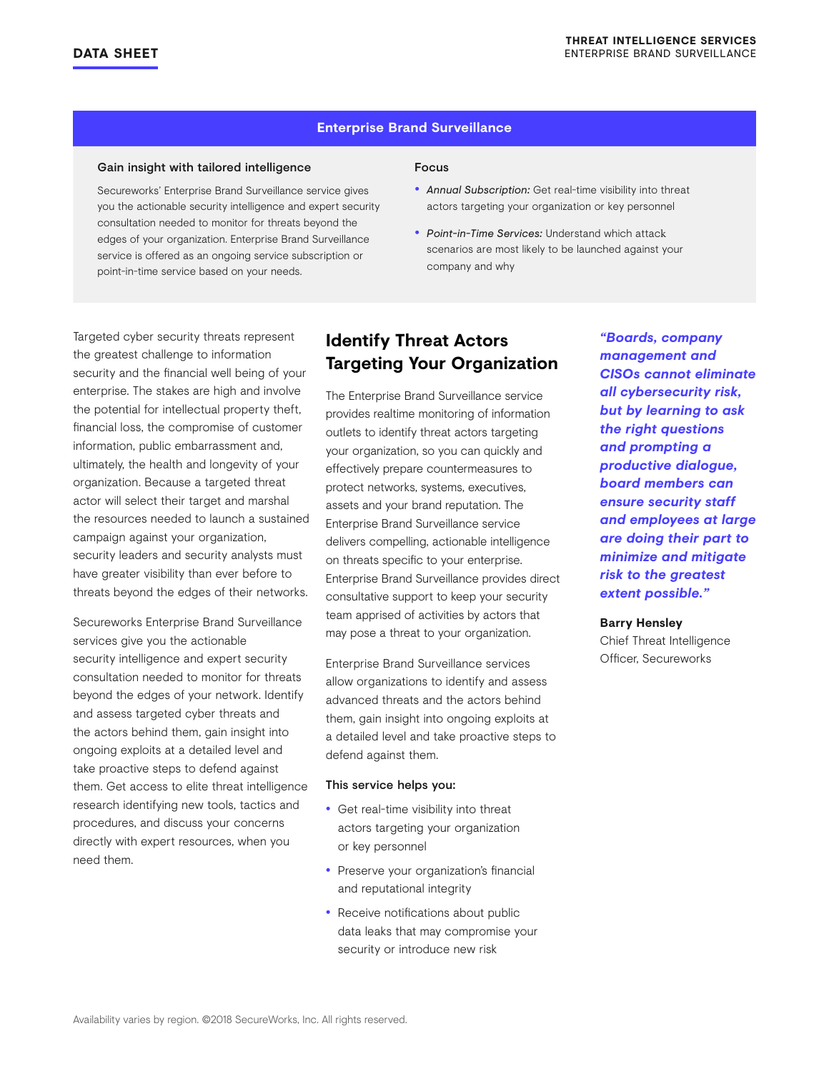#### **Enterprise Brand Surveillance**

#### Gain insight with tailored intelligence

Secureworks' Enterprise Brand Surveillance service gives you the actionable security intelligence and expert security consultation needed to monitor for threats beyond the edges of your organization. Enterprise Brand Surveillance service is offered as an ongoing service subscription or point-in-time service based on your needs.

#### Focus

- *Annual Subscription:* Get real-time visibility into threat actors targeting your organization or key personnel
- *Point-in-Time Services:* Understand which attack scenarios are most likely to be launched against your company and why

Targeted cyber security threats represent the greatest challenge to information security and the financial well being of your enterprise. The stakes are high and involve the potential for intellectual property theft, financial loss, the compromise of customer information, public embarrassment and, ultimately, the health and longevity of your organization. Because a targeted threat actor will select their target and marshal the resources needed to launch a sustained campaign against your organization, security leaders and security analysts must have greater visibility than ever before to threats beyond the edges of their networks.

Secureworks Enterprise Brand Surveillance services give you the actionable security intelligence and expert security consultation needed to monitor for threats beyond the edges of your network. Identify and assess targeted cyber threats and the actors behind them, gain insight into ongoing exploits at a detailed level and take proactive steps to defend against them. Get access to elite threat intelligence research identifying new tools, tactics and procedures, and discuss your concerns directly with expert resources, when you need them.

## **Identify Threat Actors Targeting Your Organization**

The Enterprise Brand Surveillance service provides realtime monitoring of information outlets to identify threat actors targeting your organization, so you can quickly and effectively prepare countermeasures to protect networks, systems, executives, assets and your brand reputation. The Enterprise Brand Surveillance service delivers compelling, actionable intelligence on threats specific to your enterprise. Enterprise Brand Surveillance provides direct consultative support to keep your security team apprised of activities by actors that may pose a threat to your organization.

Enterprise Brand Surveillance services allow organizations to identify and assess advanced threats and the actors behind them, gain insight into ongoing exploits at a detailed level and take proactive steps to defend against them.

#### This service helps you:

- Get real-time visibility into threat actors targeting your organization or key personnel
- Preserve your organization's financial and reputational integrity
- Receive notifications about public data leaks that may compromise your security or introduce new risk

*"Boards, company management and CISOs cannot eliminate all cybersecurity risk, but by learning to ask the right questions and prompting a productive dialogue, board members can ensure security staff and employees at large are doing their part to minimize and mitigate risk to the greatest extent possible."* 

#### **Barry Hensley**

Chief Threat Intelligence Officer, Secureworks